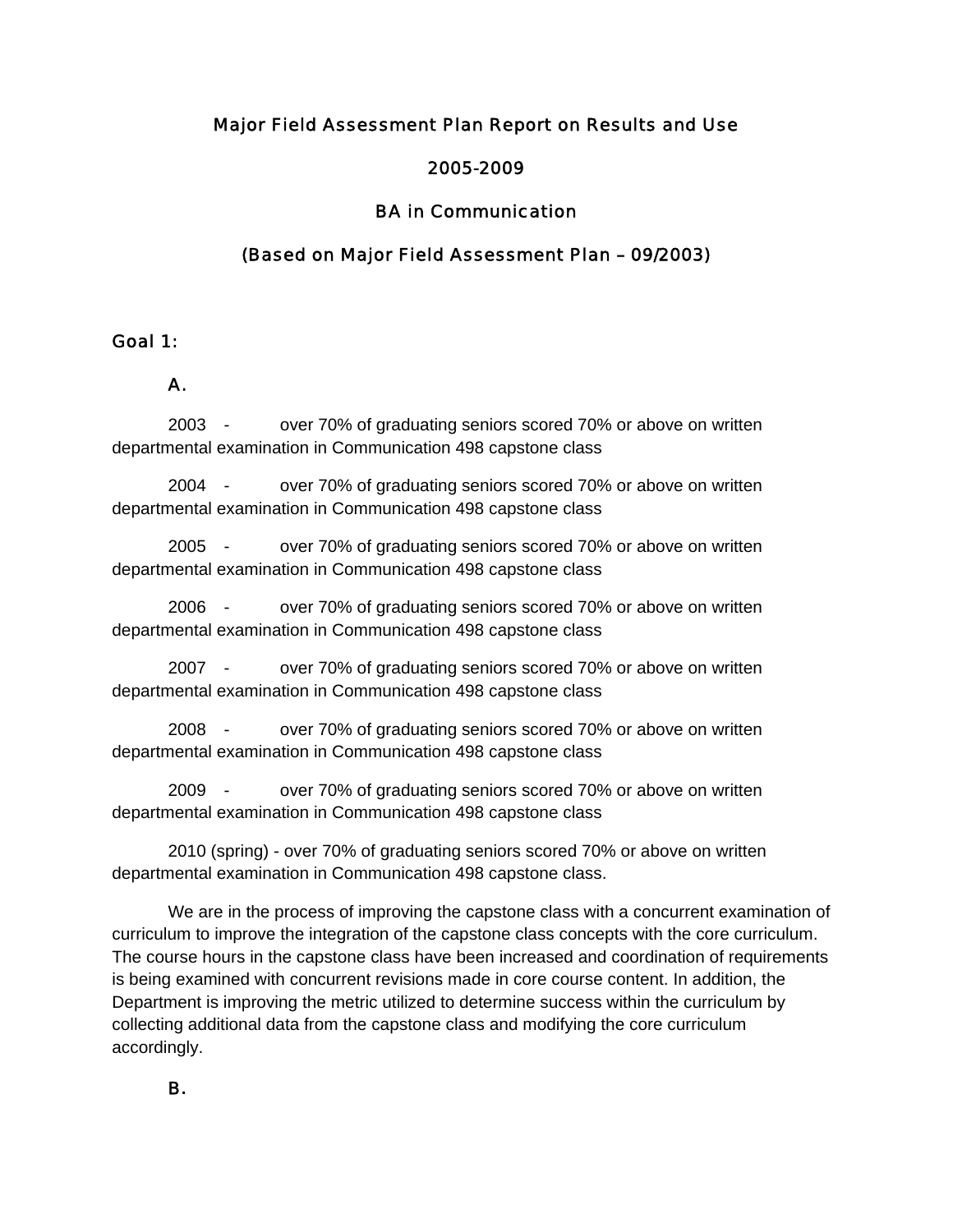### Major Field Assessment Plan Report on Results and Use

### 2005-2009

## BA in Communication

### (Based on Major Field Assessment Plan – 09/2003)

#### Goal 1:

#### A.

2003 - over 70% of graduating seniors scored 70% or above on written departmental examination in Communication 498 capstone class

 2004 - over 70% of graduating seniors scored 70% or above on written departmental examination in Communication 498 capstone class

 2005 - over 70% of graduating seniors scored 70% or above on written departmental examination in Communication 498 capstone class

 2006 - over 70% of graduating seniors scored 70% or above on written departmental examination in Communication 498 capstone class

 2007 - over 70% of graduating seniors scored 70% or above on written departmental examination in Communication 498 capstone class

 2008 - over 70% of graduating seniors scored 70% or above on written departmental examination in Communication 498 capstone class

 2009 - over 70% of graduating seniors scored 70% or above on written departmental examination in Communication 498 capstone class

 2010 (spring) - over 70% of graduating seniors scored 70% or above on written departmental examination in Communication 498 capstone class.

We are in the process of improving the capstone class with a concurrent examination of curriculum to improve the integration of the capstone class concepts with the core curriculum. The course hours in the capstone class have been increased and coordination of requirements is being examined with concurrent revisions made in core course content. In addition, the Department is improving the metric utilized to determine success within the curriculum by collecting additional data from the capstone class and modifying the core curriculum accordingly.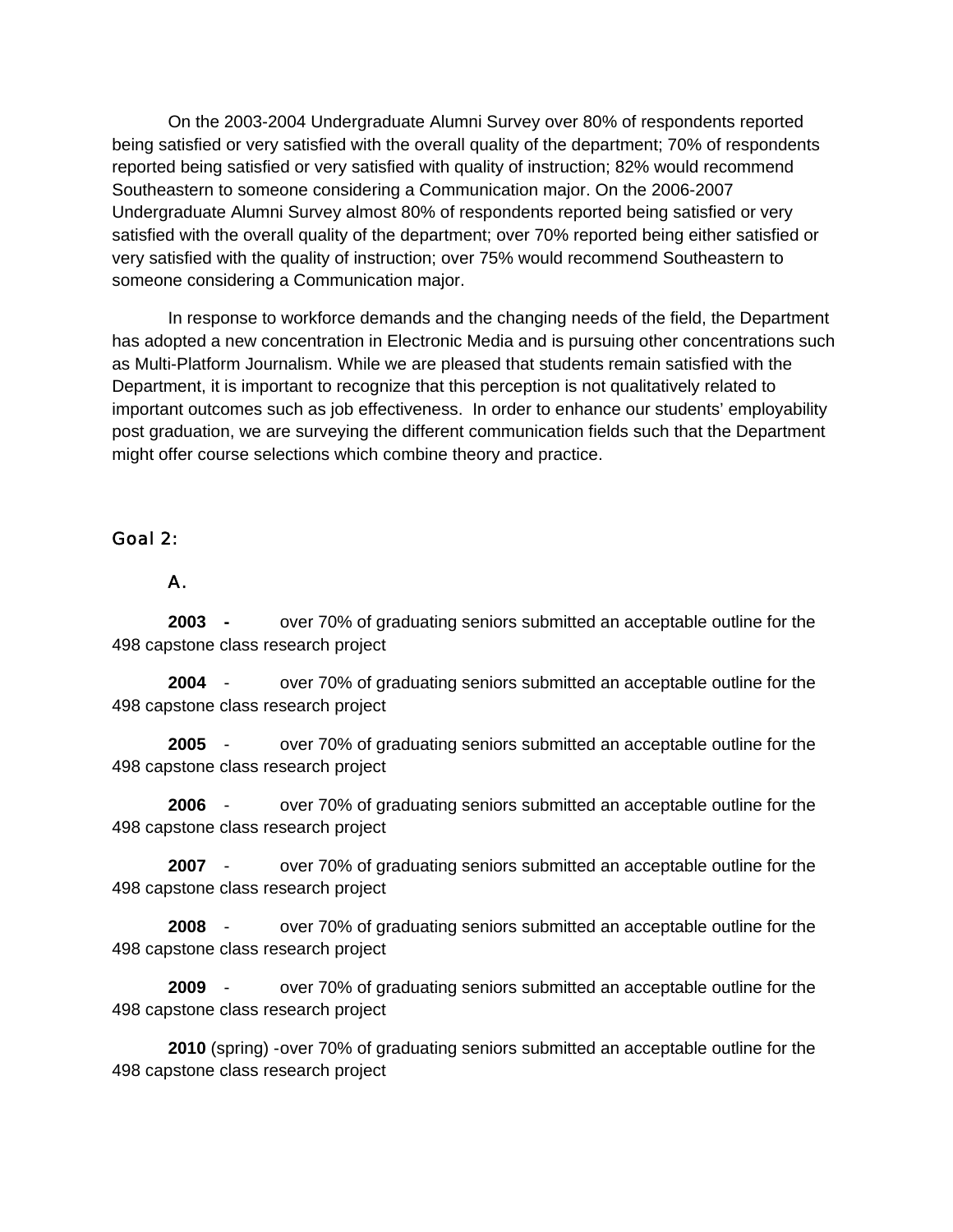On the 2003-2004 Undergraduate Alumni Survey over 80% of respondents reported being satisfied or very satisfied with the overall quality of the department; 70% of respondents reported being satisfied or very satisfied with quality of instruction; 82% would recommend Southeastern to someone considering a Communication major. On the 2006-2007 Undergraduate Alumni Survey almost 80% of respondents reported being satisfied or very satisfied with the overall quality of the department; over 70% reported being either satisfied or very satisfied with the quality of instruction; over 75% would recommend Southeastern to someone considering a Communication major.

 In response to workforce demands and the changing needs of the field, the Department has adopted a new concentration in Electronic Media and is pursuing other concentrations such as Multi-Platform Journalism. While we are pleased that students remain satisfied with the Department, it is important to recognize that this perception is not qualitatively related to important outcomes such as job effectiveness. In order to enhance our students' employability post graduation, we are surveying the different communication fields such that the Department might offer course selections which combine theory and practice.

#### Goal 2:

#### A.

 **2003 -** over 70% of graduating seniors submitted an acceptable outline for the 498 capstone class research project

**2004** - over 70% of graduating seniors submitted an acceptable outline for the 498 capstone class research project

**2005** - over 70% of graduating seniors submitted an acceptable outline for the 498 capstone class research project

**2006** - over 70% of graduating seniors submitted an acceptable outline for the 498 capstone class research project

**2007** - over 70% of graduating seniors submitted an acceptable outline for the 498 capstone class research project

**2008** - over 70% of graduating seniors submitted an acceptable outline for the 498 capstone class research project

**2009** - over 70% of graduating seniors submitted an acceptable outline for the 498 capstone class research project

**2010** (spring) -over 70% of graduating seniors submitted an acceptable outline for the 498 capstone class research project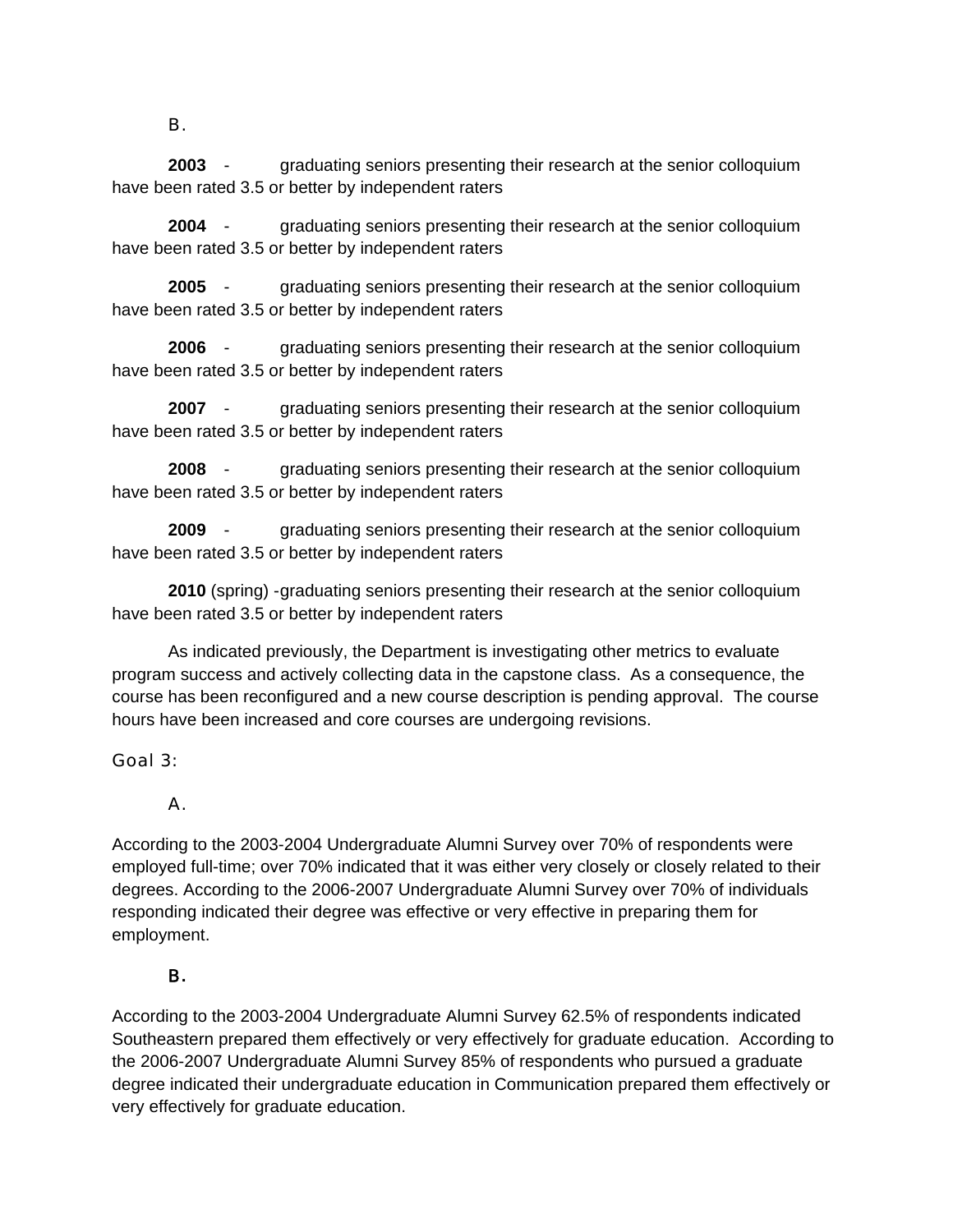#### B.

**2003** - graduating seniors presenting their research at the senior colloquium have been rated 3.5 or better by independent raters

**2004** - graduating seniors presenting their research at the senior colloquium have been rated 3.5 or better by independent raters

**2005** - graduating seniors presenting their research at the senior colloquium have been rated 3.5 or better by independent raters

**2006** - graduating seniors presenting their research at the senior colloquium have been rated 3.5 or better by independent raters

**2007** - graduating seniors presenting their research at the senior colloquium have been rated 3.5 or better by independent raters

**2008** - graduating seniors presenting their research at the senior colloquium have been rated 3.5 or better by independent raters

**2009** - graduating seniors presenting their research at the senior colloquium have been rated 3.5 or better by independent raters

**2010** (spring) - graduating seniors presenting their research at the senior colloquium have been rated 3.5 or better by independent raters

 As indicated previously, the Department is investigating other metrics to evaluate program success and actively collecting data in the capstone class. As a consequence, the course has been reconfigured and a new course description is pending approval. The course hours have been increased and core courses are undergoing revisions.

## Goal 3:

## A.

According to the 2003-2004 Undergraduate Alumni Survey over 70% of respondents were employed full-time; over 70% indicated that it was either very closely or closely related to their degrees. According to the 2006-2007 Undergraduate Alumni Survey over 70% of individuals responding indicated their degree was effective or very effective in preparing them for employment.

# B**.**

According to the 2003-2004 Undergraduate Alumni Survey 62.5% of respondents indicated Southeastern prepared them effectively or very effectively for graduate education. According to the 2006-2007 Undergraduate Alumni Survey 85% of respondents who pursued a graduate degree indicated their undergraduate education in Communication prepared them effectively or very effectively for graduate education.